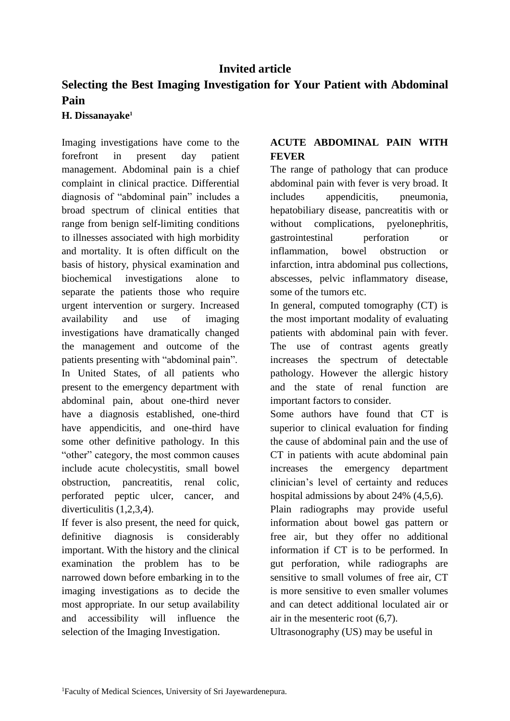# **Invited article**

# **Selecting the Best Imaging Investigation for Your Patient with Abdominal Pain**

#### **H. Dissanayake<sup>1</sup>**

Imaging investigations have come to the forefront in present day patient management. Abdominal pain is a chief complaint in clinical practice. Differential diagnosis of "abdominal pain" includes a broad spectrum of clinical entities that range from benign self-limiting conditions to illnesses associated with high morbidity and mortality. It is often difficult on the basis of history, physical examination and biochemical investigations alone to separate the patients those who require urgent intervention or surgery. Increased availability and use of imaging investigations have dramatically changed the management and outcome of the patients presenting with "abdominal pain". In United States, of all patients who present to the emergency department with abdominal pain, about one-third never have a diagnosis established, one-third have appendicitis, and one-third have some other definitive pathology. In this "other" category, the most common causes include acute cholecystitis, small bowel obstruction, pancreatitis, renal colic, perforated peptic ulcer, cancer, and diverticulitis (1,2,3,4).

If fever is also present, the need for quick, definitive diagnosis is considerably important. With the history and the clinical examination the problem has to be narrowed down before embarking in to the imaging investigations as to decide the most appropriate. In our setup availability and accessibility will influence the selection of the Imaging Investigation.

#### **ACUTE ABDOMINAL PAIN WITH FEVER**

The range of pathology that can produce abdominal pain with fever is very broad. It includes appendicitis, pneumonia, hepatobiliary disease, pancreatitis with or without complications, pyelonephritis, gastrointestinal perforation or inflammation, bowel obstruction or infarction, intra abdominal pus collections, abscesses, pelvic inflammatory disease, some of the tumors etc.

In general, computed tomography (CT) is the most important modality of evaluating patients with abdominal pain with fever. The use of contrast agents greatly increases the spectrum of detectable pathology. However the allergic history and the state of renal function are important factors to consider.

Some authors have found that CT is superior to clinical evaluation for finding the cause of abdominal pain and the use of CT in patients with acute abdominal pain increases the emergency department clinician's level of certainty and reduces hospital admissions by about 24% (4,5,6).

Plain radiographs may provide useful information about bowel gas pattern or free air, but they offer no additional information if CT is to be performed. In gut perforation, while radiographs are sensitive to small volumes of free air, CT is more sensitive to even smaller volumes and can detect additional loculated air or air in the mesenteric root (6,7).

Ultrasonography (US) may be useful in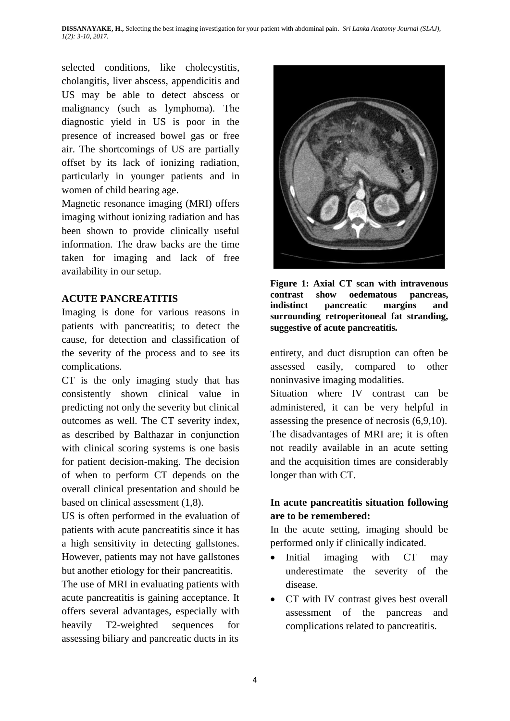selected conditions, like cholecystitis, cholangitis, liver abscess, appendicitis and US may be able to detect abscess or malignancy (such as lymphoma). The diagnostic yield in US is poor in the presence of increased bowel gas or free air. The shortcomings of US are partially offset by its lack of ionizing radiation, particularly in younger patients and in women of child bearing age.

Magnetic resonance imaging (MRI) offers imaging without ionizing radiation and has been shown to provide clinically useful information. The draw backs are the time taken for imaging and lack of free availability in our setup.

#### **ACUTE PANCREATITIS**

Imaging is done for various reasons in patients with pancreatitis; to detect the cause, for detection and classification of the severity of the process and to see its complications.

CT is the only imaging study that has consistently shown clinical value in predicting not only the severity but clinical outcomes as well. The CT severity index, as described by Balthazar in conjunction with clinical scoring systems is one basis for patient decision-making. The decision of when to perform CT depends on the overall clinical presentation and should be based on clinical assessment (1,8).

US is often performed in the evaluation of patients with acute pancreatitis since it has a high sensitivity in detecting gallstones. However, patients may not have gallstones but another etiology for their pancreatitis.

The use of MRI in evaluating patients with acute pancreatitis is gaining acceptance. It offers several advantages, especially with heavily T2-weighted sequences for assessing biliary and pancreatic ducts in its



**Figure 1: Axial CT scan with intravenous contrast show oedematous pancreas, indistinct pancreatic margins and surrounding retroperitoneal fat stranding, suggestive of acute pancreatitis***.*

entirety, and duct disruption can often be assessed easily, compared to other noninvasive imaging modalities.

Situation where IV contrast can be administered, it can be very helpful in assessing the presence of necrosis (6,9,10). The disadvantages of MRI are; it is often not readily available in an acute setting and the acquisition times are considerably longer than with CT.

#### **In acute pancreatitis situation following are to be remembered:**

In the acute setting, imaging should be performed only if clinically indicated.

- Initial imaging with CT may underestimate the severity of the disease.
- CT with IV contrast gives best overall assessment of the pancreas and complications related to pancreatitis.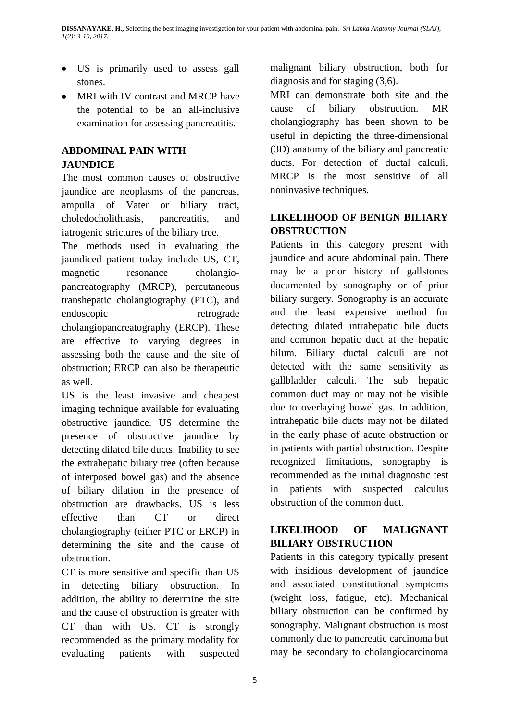- US is primarily used to assess gall stones.
- MRI with IV contrast and MRCP have the potential to be an all-inclusive examination for assessing pancreatitis.

### **ABDOMINAL PAIN WITH JAUNDICE**

The most common causes of obstructive jaundice are neoplasms of the pancreas, ampulla of Vater or biliary tract, choledocholithiasis, pancreatitis, and iatrogenic strictures of the biliary tree.

The methods used in evaluating the jaundiced patient today include US, CT, magnetic resonance cholangiopancreatography (MRCP), percutaneous transhepatic cholangiography (PTC), and endoscopic retrograde cholangiopancreatography (ERCP). These are effective to varying degrees in assessing both the cause and the site of obstruction; ERCP can also be therapeutic as well.

US is the least invasive and cheapest imaging technique available for evaluating obstructive jaundice. US determine the presence of obstructive jaundice by detecting dilated bile ducts. Inability to see the extrahepatic biliary tree (often because of interposed bowel gas) and the absence of biliary dilation in the presence of obstruction are drawbacks. US is less effective than CT or direct cholangiography (either PTC or ERCP) in determining the site and the cause of obstruction.

CT is more sensitive and specific than US in detecting biliary obstruction. In addition, the ability to determine the site and the cause of obstruction is greater with CT than with US. CT is strongly recommended as the primary modality for evaluating patients with suspected malignant biliary obstruction, both for diagnosis and for staging (3,6).

MRI can demonstrate both site and the cause of biliary obstruction. MR cholangiography has been shown to be useful in depicting the three-dimensional (3D) anatomy of the biliary and pancreatic ducts. For detection of ductal calculi, MRCP is the most sensitive of all noninvasive techniques.

### **LIKELIHOOD OF BENIGN BILIARY OBSTRUCTION**

Patients in this category present with jaundice and acute abdominal pain. There may be a prior history of gallstones documented by sonography or of prior biliary surgery. Sonography is an accurate and the least expensive method for detecting dilated intrahepatic bile ducts and common hepatic duct at the hepatic hilum. Biliary ductal calculi are not detected with the same sensitivity as gallbladder calculi. The sub hepatic common duct may or may not be visible due to overlaying bowel gas. In addition, intrahepatic bile ducts may not be dilated in the early phase of acute obstruction or in patients with partial obstruction. Despite recognized limitations, sonography is recommended as the initial diagnostic test in patients with suspected calculus obstruction of the common duct.

# **LIKELIHOOD OF MALIGNANT BILIARY OBSTRUCTION**

Patients in this category typically present with insidious development of jaundice and associated constitutional symptoms (weight loss, fatigue, etc). Mechanical biliary obstruction can be confirmed by sonography. Malignant obstruction is most commonly due to pancreatic carcinoma but may be secondary to cholangiocarcinoma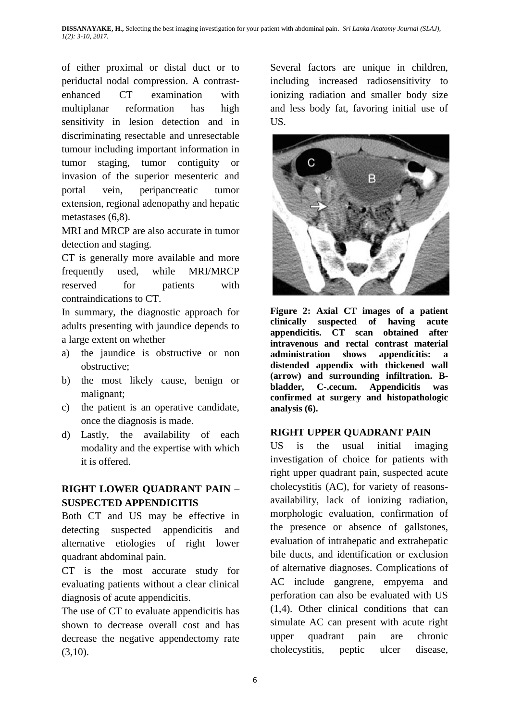of either proximal or distal duct or to periductal nodal compression. A contrastenhanced CT examination with multiplanar reformation has high sensitivity in lesion detection and in discriminating resectable and unresectable tumour including important information in tumor staging, tumor contiguity or invasion of the superior mesenteric and portal vein, peripancreatic tumor extension, regional adenopathy and hepatic metastases (6,8).

MRI and MRCP are also accurate in tumor detection and staging.

CT is generally more available and more frequently used, while MRI/MRCP reserved for patients with contraindications to CT.

In summary, the diagnostic approach for adults presenting with jaundice depends to a large extent on whether

- a) the jaundice is obstructive or non obstructive;
- b) the most likely cause, benign or malignant;
- c) the patient is an operative candidate, once the diagnosis is made.
- d) Lastly, the availability of each modality and the expertise with which it is offered.

# **RIGHT LOWER QUADRANT PAIN – SUSPECTED APPENDICITIS**

Both CT and US may be effective in detecting suspected appendicitis and alternative etiologies of right lower quadrant abdominal pain.

CT is the most accurate study for evaluating patients without a clear clinical diagnosis of acute appendicitis.

The use of CT to evaluate appendicitis has shown to decrease overall cost and has decrease the negative appendectomy rate  $(3,10)$ .

Several factors are unique in children, including increased radiosensitivity to ionizing radiation and smaller body size and less body fat, favoring initial use of US.



**Figure 2: Axial CT images of a patient clinically suspected of having acute appendicitis. CT scan obtained after intravenous and rectal contrast material administration shows appendicitis: a distended appendix with thickened wall (arrow) and surrounding infiltration. Bbladder, C-.cecum. Appendicitis was confirmed at surgery and histopathologic analysis (6).**

#### **RIGHT UPPER QUADRANT PAIN**

US is the usual initial imaging investigation of choice for patients with right upper quadrant pain, suspected acute cholecystitis (AC), for variety of reasonsavailability, lack of ionizing radiation, morphologic evaluation, confirmation of the presence or absence of gallstones, evaluation of intrahepatic and extrahepatic bile ducts, and identification or exclusion of alternative diagnoses. Complications of AC include gangrene, empyema and perforation can also be evaluated with US (1,4). Other clinical conditions that can simulate AC can present with acute right upper quadrant pain are chronic cholecystitis, peptic ulcer disease,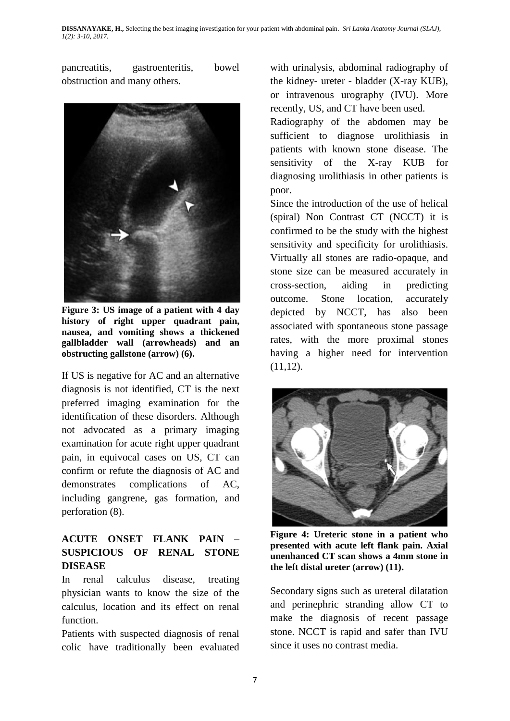pancreatitis, gastroenteritis, bowel obstruction and many others.



**Figure 3: US image of a patient with 4 day history of right upper quadrant pain, nausea, and vomiting shows a thickened gallbladder wall (arrowheads) and an obstructing gallstone (arrow) (6).**

If US is negative for AC and an alternative diagnosis is not identified, CT is the next preferred imaging examination for the identification of these disorders. Although not advocated as a primary imaging examination for acute right upper quadrant pain, in equivocal cases on US, CT can confirm or refute the diagnosis of AC and demonstrates complications of AC, including gangrene, gas formation, and perforation (8).

# **ACUTE ONSET FLANK PAIN – SUSPICIOUS OF RENAL STONE DISEASE**

In renal calculus disease, treating physician wants to know the size of the calculus, location and its effect on renal function.

Patients with suspected diagnosis of renal colic have traditionally been evaluated with urinalysis, abdominal radiography of the kidney- ureter - bladder (X-ray KUB), or intravenous urography (IVU). More recently, US, and CT have been used.

Radiography of the abdomen may be sufficient to diagnose urolithiasis in patients with known stone disease. The sensitivity of the X-ray KUB for diagnosing urolithiasis in other patients is poor.

Since the introduction of the use of helical (spiral) Non Contrast CT (NCCT) it is confirmed to be the study with the highest sensitivity and specificity for urolithiasis. Virtually all stones are radio-opaque, and stone size can be measured accurately in cross-section, aiding in predicting outcome. Stone location, accurately depicted by NCCT, has also been associated with spontaneous stone passage rates, with the more proximal stones having a higher need for intervention  $(11,12)$ .



**Figure 4: Ureteric stone in a patient who presented with acute left flank pain. Axial unenhanced CT scan shows a 4mm stone in the left distal ureter (arrow) (11).**

Secondary signs such as ureteral dilatation and perinephric stranding allow CT to make the diagnosis of recent passage stone. NCCT is rapid and safer than IVU since it uses no contrast media.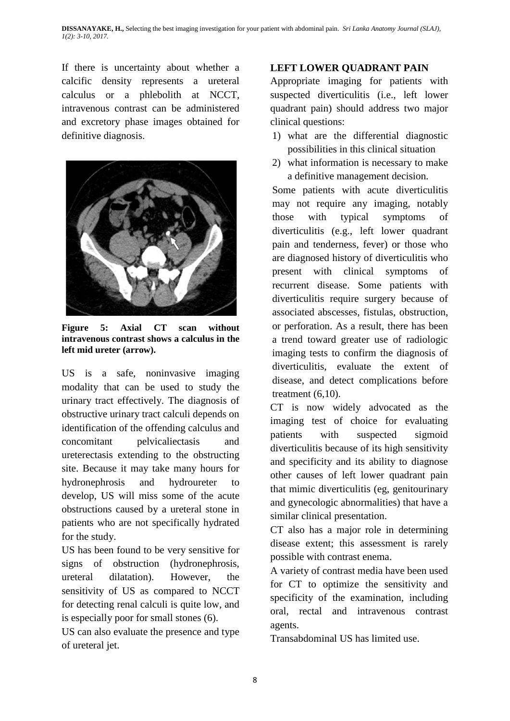If there is uncertainty about whether a calcific density represents a ureteral calculus or a phlebolith at NCCT, intravenous contrast can be administered and excretory phase images obtained for definitive diagnosis.



**Figure 5: Axial CT scan without intravenous contrast shows a calculus in the left mid ureter (arrow).**

US is a safe, noninvasive imaging modality that can be used to study the urinary tract effectively. The diagnosis of obstructive urinary tract calculi depends on identification of the offending calculus and concomitant pelvicaliectasis and ureterectasis extending to the obstructing site. Because it may take many hours for hydronephrosis and hydroureter to develop, US will miss some of the acute obstructions caused by a ureteral stone in patients who are not specifically hydrated for the study.

US has been found to be very sensitive for signs of obstruction (hydronephrosis, ureteral dilatation). However, the sensitivity of US as compared to NCCT for detecting renal calculi is quite low, and is especially poor for small stones (6).

US can also evaluate the presence and type of ureteral jet.

# **LEFT LOWER QUADRANT PAIN**

Appropriate imaging for patients with suspected diverticulitis (i.e., left lower quadrant pain) should address two major clinical questions:

- 1) what are the differential diagnostic possibilities in this clinical situation
- 2) what information is necessary to make a definitive management decision.

Some patients with acute diverticulitis may not require any imaging, notably those with typical symptoms of diverticulitis (e.g., left lower quadrant pain and tenderness, fever) or those who are diagnosed history of diverticulitis who present with clinical symptoms of recurrent disease. Some patients with diverticulitis require surgery because of associated abscesses, fistulas, obstruction, or perforation. As a result, there has been a trend toward greater use of radiologic imaging tests to confirm the diagnosis of diverticulitis, evaluate the extent of disease, and detect complications before treatment  $(6,10)$ .

CT is now widely advocated as the imaging test of choice for evaluating patients with suspected sigmoid diverticulitis because of its high sensitivity and specificity and its ability to diagnose other causes of left lower quadrant pain that mimic diverticulitis (eg, genitourinary and gynecologic abnormalities) that have a similar clinical presentation.

CT also has a major role in determining disease extent; this assessment is rarely possible with contrast enema.

A variety of contrast media have been used for CT to optimize the sensitivity and specificity of the examination, including oral, rectal and intravenous contrast agents.

Transabdominal US has limited use.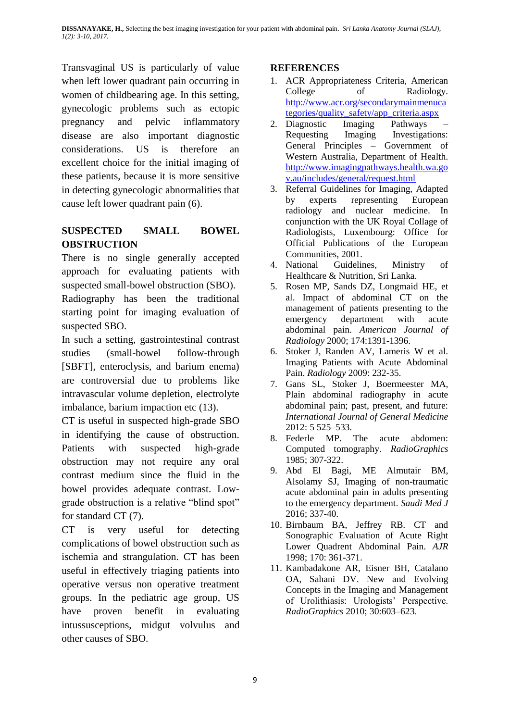Transvaginal US is particularly of value when left lower quadrant pain occurring in women of childbearing age. In this setting, gynecologic problems such as ectopic pregnancy and pelvic inflammatory disease are also important diagnostic considerations. US is therefore an excellent choice for the initial imaging of these patients, because it is more sensitive in detecting gynecologic abnormalities that cause left lower quadrant pain (6).

# **SUSPECTED SMALL BOWEL OBSTRUCTION**

There is no single generally accepted approach for evaluating patients with suspected small-bowel obstruction (SBO).

Radiography has been the traditional starting point for imaging evaluation of suspected SBO.

In such a setting, gastrointestinal contrast studies (small-bowel follow-through [SBFT], enteroclysis, and barium enema) are controversial due to problems like intravascular volume depletion, electrolyte imbalance, barium impaction etc (13).

CT is useful in suspected high-grade SBO in identifying the cause of obstruction. Patients with suspected high-grade obstruction may not require any oral contrast medium since the fluid in the bowel provides adequate contrast. Lowgrade obstruction is a relative "blind spot" for standard CT (7).

CT is very useful for detecting complications of bowel obstruction such as ischemia and strangulation. CT has been useful in effectively triaging patients into operative versus non operative treatment groups. In the pediatric age group, US have proven benefit in evaluating intussusceptions, midgut volvulus and other causes of SBO.

### **REFERENCES**

- 1. ACR Appropriateness Criteria, American College of Radiology. [http://www.acr.org/secondarymainmenuca](http://www.acr.org/secondarymainmenucategories/quality_safety/app_criteria.aspx) [tegories/quality\\_safety/app\\_criteria.aspx](http://www.acr.org/secondarymainmenucategories/quality_safety/app_criteria.aspx)
- 2. Diagnostic Imaging Pathways Requesting Imaging Investigations: General Principles – Government of Western Australia, Department of Health. [http://www.imagingpathways.health.wa.go](http://www.imagingpathways.health.wa.gov.au/includes/general/request.html) [v.au/includes/general/request.html](http://www.imagingpathways.health.wa.gov.au/includes/general/request.html)
- 3. Referral Guidelines for Imaging, Adapted by experts representing European radiology and nuclear medicine. In conjunction with the UK Royal Collage of Radiologists, Luxembourg: Office for Official Publications of the European Communities, 2001.
- 4. National Guidelines, Ministry of Healthcare & Nutrition, Sri Lanka.
- 5. Rosen MP, Sands DZ, Longmaid HE, et al. Impact of abdominal CT on the management of patients presenting to the emergency department with acute abdominal pain. *American Journal of Radiology* 2000; 174:1391-1396.
- 6. Stoker J, Randen AV, Lameris W et al. Imaging Patients with Acute Abdominal Pain. *Radiology* 2009: 232-35.
- 7. Gans SL, Stoker J, Boermeester MA, Plain abdominal radiography in acute abdominal pain; past, present, and future: *International Journal of General Medicine* 2012: 5 525–533.
- 8. Federle MP. The acute abdomen: Computed tomography. *RadioGraphics* 1985; 307-322.
- 9. Abd El Bagi, ME Almutair BM, Alsolamy SJ, Imaging of non-traumatic acute abdominal pain in adults presenting to the emergency department. *Saudi Med J* 2016; 337-40.
- 10. Birnbaum BA, Jeffrey RB. CT and Sonographic Evaluation of Acute Right Lower Quadrent Abdominal Pain. *AJR*  1998; 170: 361-371.
- 11. Kambadakone AR, Eisner BH, Catalano OA, Sahani DV. New and Evolving Concepts in the Imaging and Management of Urolithiasis: Urologists' Perspective. *RadioGraphics* 2010; 30:603–623.